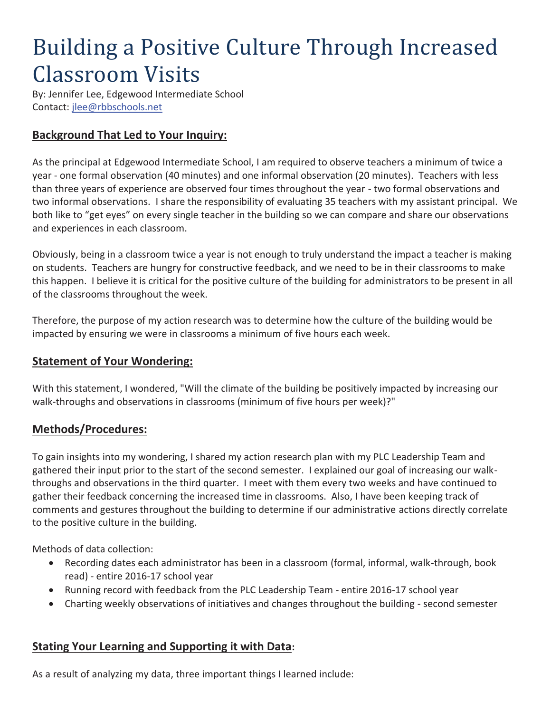# Building a Positive Culture Through Increased Classroom Visits

By: Jennifer Lee, Edgewood Intermediate School Contact: jlee@rbbschools.net

## **Background That Led to Your Inquiry:**

As the principal at Edgewood Intermediate School, I am required to observe teachers a minimum of twice a year - one formal observation (40 minutes) and one informal observation (20 minutes). Teachers with less than three years of experience are observed four times throughout the year - two formal observations and two informal observations. I share the responsibility of evaluating 35 teachers with my assistant principal. We both like to "get eyes" on every single teacher in the building so we can compare and share our observations and experiences in each classroom.

Obviously, being in a classroom twice a year is not enough to truly understand the impact a teacher is making on students. Teachers are hungry for constructive feedback, and we need to be in their classrooms to make this happen. I believe it is critical for the positive culture of the building for administrators to be present in all of the classrooms throughout the week.

Therefore, the purpose of my action research was to determine how the culture of the building would be impacted by ensuring we were in classrooms a minimum of five hours each week.

### **Statement of Your Wondering:**

With this statement, I wondered, "Will the climate of the building be positively impacted by increasing our walk-throughs and observations in classrooms (minimum of five hours per week)?"

### **Methods/Procedures:**

To gain insights into my wondering, I shared my action research plan with my PLC Leadership Team and gathered their input prior to the start of the second semester. I explained our goal of increasing our walkthroughs and observations in the third quarter. I meet with them every two weeks and have continued to gather their feedback concerning the increased time in classrooms. Also, I have been keeping track of comments and gestures throughout the building to determine if our administrative actions directly correlate to the positive culture in the building.

Methods of data collection:

- x Recording dates each administrator has been in a classroom (formal, informal, walk-through, book read) - entire 2016-17 school year
- Running record with feedback from the PLC Leadership Team entire 2016-17 school year
- Charting weekly observations of initiatives and changes throughout the building second semester

### **Stating Your Learning and Supporting it with Data:**

As a result of analyzing my data, three important things I learned include: